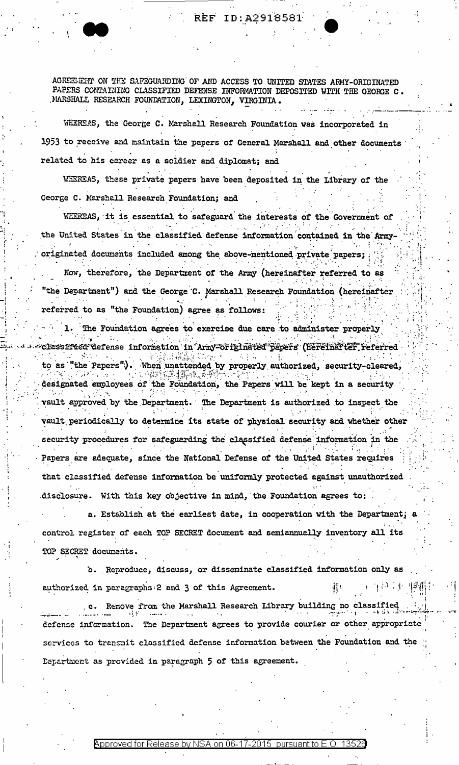AGREEMENT ON THE SAFEGUARDING OF AND ACCESS TO UNITED STATES ARMY-ORIGINATED PAPERS CONTAINING CLASSIFIED DEFENSE INFORMATION DEPOSITED WITH THE GEORGE C. MARSHALL RESEARCH FOUNDATION, LEXINGTON, VIRGINIA.

WHEREAS, the George C. Marshall Research Foundation was incorporated in 1953 to receive and maintain the papers of General Marshall and other documents related to his career as a soldier and diplomat; and

WHEREAS, these private papers have been deposited in the Library of the George C. Marshall Research Foundation; and

WEEREAS, it is essential to safeguard the interests of the Government of the United States in the classified defense information contained in the Armyoriginated documents included among the above-mentioned private papers; Now, therefore, the Department of the Army (hereinafter referred to as "the Department") and the George C. Marshall Research Foundation (hereinafter referred to as "the Foundation) agree as follows:

1. The Foundation agrees to exercise due care to administer properly classified defense information in Army-örfgindted påpers (hereinafter referred to as "the Papers"). When unattended by properly authorized, security-cleared, designated employees of the Foundation, the Papers will be kept in a security vault approved by the Department. The Department is authorized to inspect the vault periodically to determine its state of physical security and whether other security procedures for safeguarding the classified defense information in the Papers are adequate, since the National Defense of the United States requires that classified defense information be uniformly protected against unauthorized disclosure. With this key objective in mind, the Foundation agrees to:

a. Establish at the earliest date, in cooperation with the Department; a control register of each TOP SECRET document and semiannually inventory all its TOP SECRET documents.

b. Reproduce, discuss, or disseminate classified information only as authorized in paragraphs 2 and 3 of this Agreement. (三百六十二国 JI :

c. Remove from the Marshall Research Library building no classified defense information. The Department agrees to provide courier or other appropriate services to transmit classified defense information between the Foundation and the Department as provided in paragraph 5 of this agreement.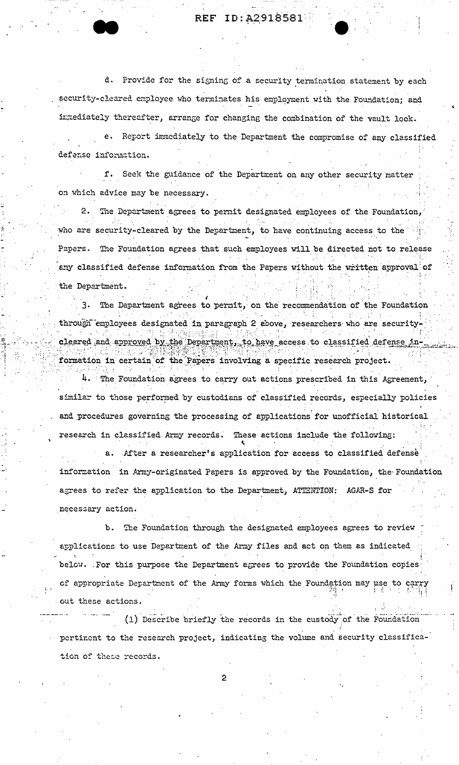REF ID:A2918581

d. Provide for the signing of a security termination statement by each security-cleared employee who terminates his employment with the Foundation; and intediately thereafter, arrange for changing the combination of the vault look.

e. Report immediately to the Department the compromise of any classified defense information.

f. Seek the guidance of the Department on any other security matter on which advice may be necessary.

 $2.$ The Department agrees to permit designated employees of the Foundation, who are security-cleared by the Department, to have continuing access to the Papers. The Foundation agrees that such employees will be directed not to release any classified defense information from the Papers without the written approval of the Department.

3. The Department agrees to permit, on the recommendation of the Foundation through employees designated in paragraph 2 above, researchers who are securitycleared and approved by the Department, to have access to classified defense information in certain of the Papers involving a specific research project.

4. The Foundation agrees to carry out actions prescribed in this Agreement, similar to those performed by custodians of classified records, especially policies and procedures governing the processing of applications for unofficial historical research in classified Army records. These actions include the following:

a. After a researcher's application for access to classified defense information in Army-originated Papers is approved by the Foundation, the Foundation agrees to refer the application to the Department, ATTENTION: AGAR-S for necessary action.

b. The Foundation through the designated employees agrees to review applications to use Department of the Army files and act on them as indicated below. For this purpose the Department agrees to provide the Foundation copies of appropriate Department of the Army forms which the Foundation may use to ca out these actions.

(1) Describe briefly the records in the custody of the Foundation pertinent to the research project, indicating the volume and security classification of these records.

 $\mathbf{P}$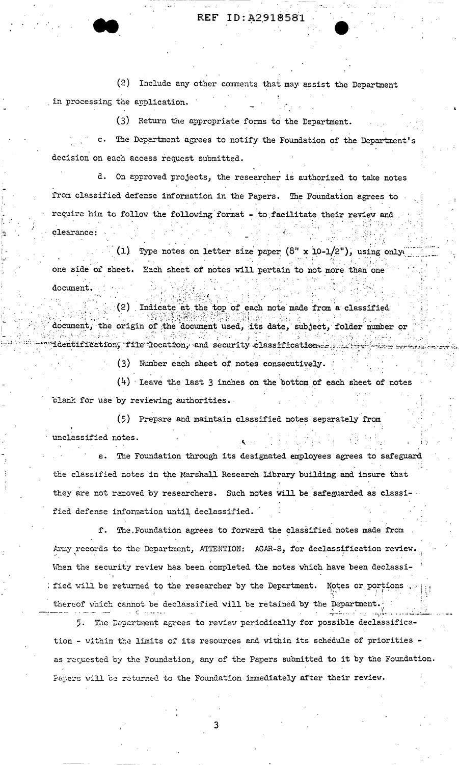REF ID: A2918581

(2) Include any other comments that may assist the Department in processing the application.

(3) Return the appropriate forms to the Department.

The Department agrees to notify the Foundation of the Department's decision on each access request submitted.

d. On approved projects, the researcher is authorized to take notes from classified defense information in the Papers. The Foundation agrees to require him to follow the following format - to facilitate their review and clearance:

(1) Type notes on letter size paper  $(8'' \times 10-1/2'')$ , using only one side of sheet. Each sheet of notes will pertain to not more than one document.

(2) Indicate at the top of each note made from a classified document, the origin of the document used, its date, subject, folder number or 

(3) Number each sheet of notes consecutively.

 $(4)$  Leave the last 3 inches on the bottom of each sheet of notes blank for use by reviewing authorities.

(5) Prepare and maintain classified notes separately from unclassified notes.

The Foundation through its designated employees agrees to safeguard the classified notes in the Marshall Research Library building and insure that they are not removed by researchers. Such notes will be safeguarded as classified defense information until declassified.

f. The Foundation agrees to forward the classified notes made from Army records to the Department, ATTENTION: AGAR-S, for declassification review. When the security review has been completed the notes which have been declassified will be returned to the researcher by the Department. Notes or portions  $\psi$ thereof which cannot be declassified will be retained by the Department.

The Department agrees to review periodically for possible declassifica-5. tion - within the limits of its resources and within its schedule of priorities as requested by the Foundation, any of the Papers submitted to it by the Foundation. Papers will be returned to the Foundation immediately after their review.